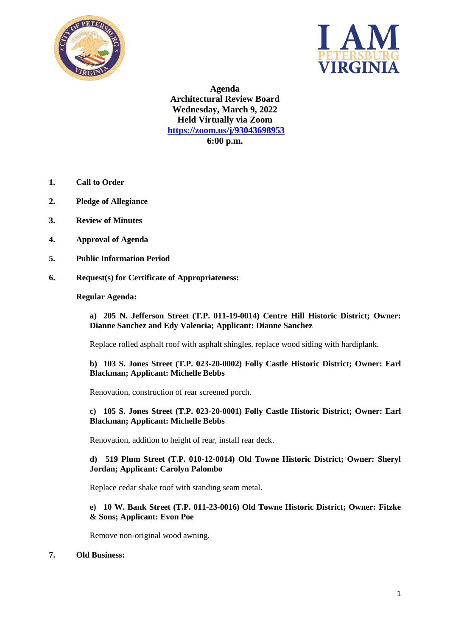



**Agenda Architectural Review Board Wednesday, March 9, 2022 Held Virtually via Zoom <https://zoom.us/j/93043698953> 6:00 p.m.**

- **1. Call to Order**
- **2. Pledge of Allegiance**
- **3. Review of Minutes**
- **4. Approval of Agenda**
- **5. Public Information Period**
- **6. Request(s) for Certificate of Appropriateness:**

### **Regular Agenda:**

**a) 205 N. Jefferson Street (T.P. 011-19-0014) Centre Hill Historic District; Owner: Dianne Sanchez and Edy Valencia; Applicant: Dianne Sanchez**

Replace rolled asphalt roof with asphalt shingles, replace wood siding with hardiplank.

**b) 103 S. Jones Street (T.P. 023-20-0002) Folly Castle Historic District; Owner: Earl Blackman; Applicant: Michelle Bebbs**

Renovation, construction of rear screened porch.

**c) 105 S. Jones Street (T.P. 023-20-0001) Folly Castle Historic District; Owner: Earl Blackman; Applicant: Michelle Bebbs**

Renovation, addition to height of rear, install rear deck.

# **d) 519 Plum Street (T.P. 010-12-0014) Old Towne Historic District; Owner: Sheryl Jordan; Applicant: Carolyn Palombo**

Replace cedar shake roof with standing seam metal.

### **e) 10 W. Bank Street (T.P. 011-23-0016) Old Towne Historic District; Owner: Fitzke & Sons; Applicant: Evon Poe**

Remove non-original wood awning.

### **7. Old Business:**